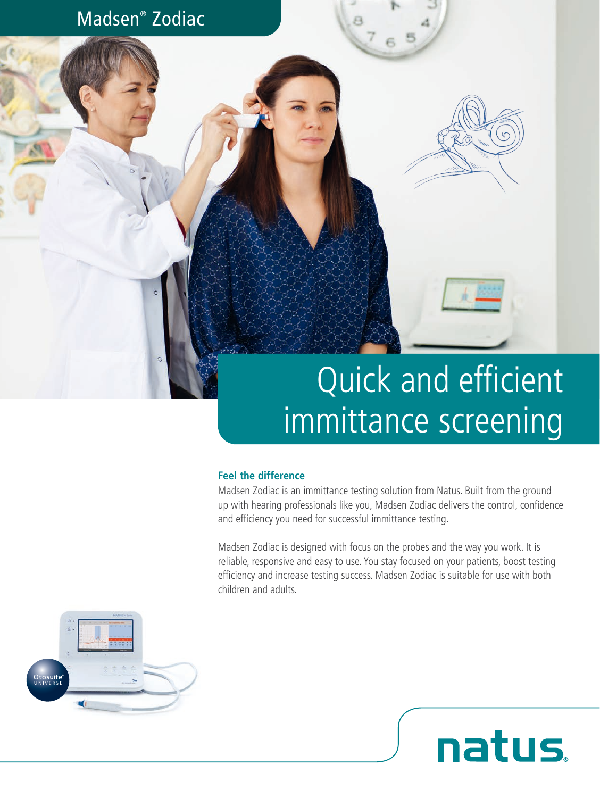

# Quick and efficient immittance screening

natus.

#### **Feel the difference**

Madsen Zodiac is an immittance testing solution from Natus. Built from the ground up with hearing professionals like you, Madsen Zodiac delivers the control, confidence and efficiency you need for successful immittance testing.

Madsen Zodiac is designed with focus on the probes and the way you work. It is reliable, responsive and easy to use. You stay focused on your patients, boost testing efficiency and increase testing success. Madsen Zodiac is suitable for use with both children and adults.